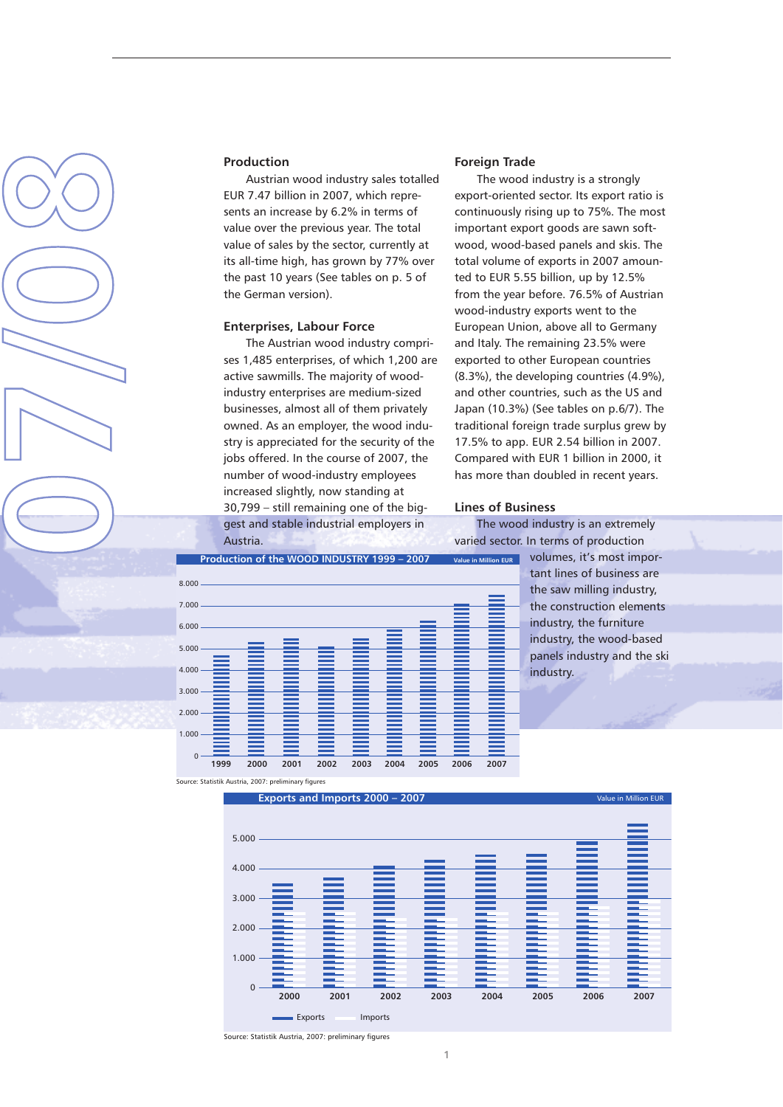

#### **Production**

Austrian wood industry sales totalled EUR 7.47 billion in 2007, which represents an increase by 6.2% in terms of value over the previous year. The total value of sales by the sector, currently at its all-time high, has grown by 77% over the past 10 years (See tables on p. 5 of the German version).

### **Enterprises, Labour Force**

The Austrian wood industry comprises 1,485 enterprises, of which 1,200 are active sawmills. The majority of woodindustry enterprises are medium-sized businesses, almost all of them privately owned. As an employer, the wood industry is appreciated for the security of the jobs offered. In the course of 2007, the number of wood-industry employees increased slightly, now standing at 30,799 – still remaining one of the biggest and stable industrial employers in Austria.

#### **Foreign Trade**

The wood industry is a strongly export-oriented sector. Its export ratio is continuously rising up to 75%. The most important export goods are sawn softwood, wood-based panels and skis. The total volume of exports in 2007 amounted to EUR 5.55 billion, up by 12.5% from the year before. 76.5% of Austrian wood-industry exports went to the European Union, above all to Germany and Italy. The remaining 23.5% were exported to other European countries (8.3%), the developing countries (4.9%), and other countries, such as the US and Japan (10.3%) (See tables on p.6/7). The traditional foreign trade surplus grew by 17.5% to app. EUR 2.54 billion in 2007. Compared with EUR 1 billion in 2000, it has more than doubled in recent years.

#### **Lines of Business**

The wood industry is an extremely varied sector. In terms of production

> volumes, it's most important lines of business are the saw milling industry, the construction elements industry, the furniture industry, the wood-based panels industry and the ski industry.



Source: Statistik Austria, 2007: preliminary figures



Source: Statistik Austria, 2007: preliminary figures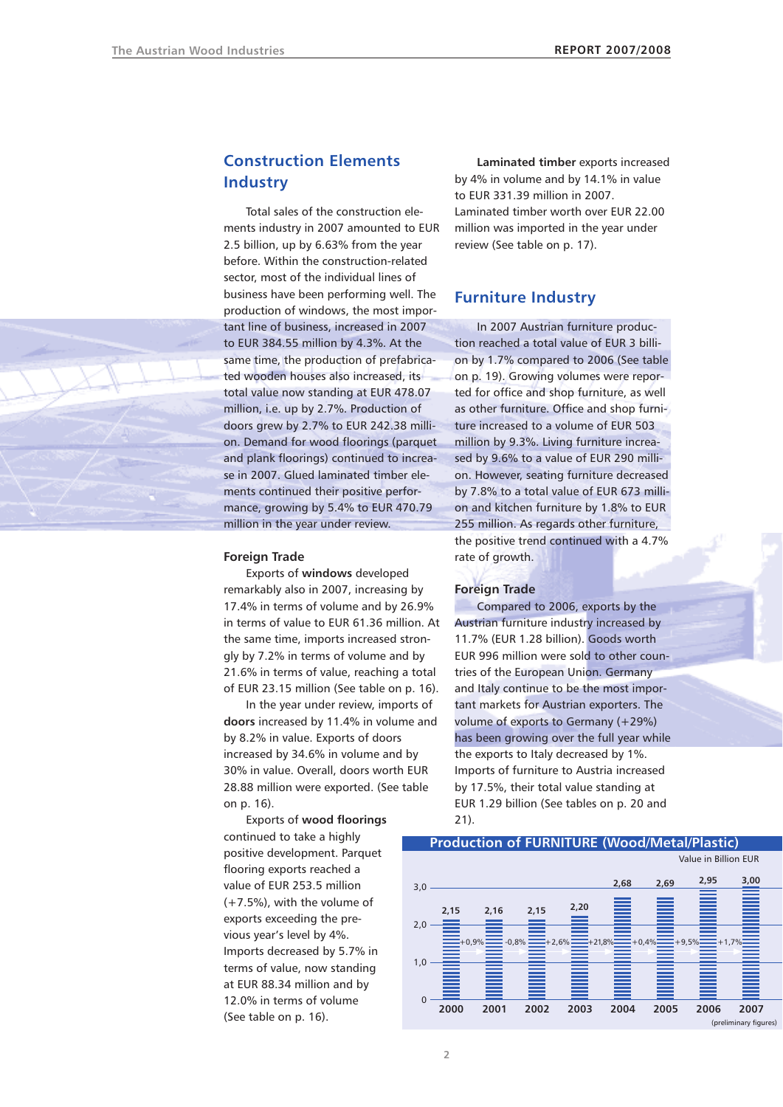

# **Construction Elements Industry**

Total sales of the construction elements industry in 2007 amounted to EUR 2.5 billion, up by 6.63% from the year before. Within the construction-related sector, most of the individual lines of business have been performing well. The production of windows, the most important line of business, increased in 2007 to EUR 384.55 million by 4.3%. At the same time, the production of prefabricated wooden houses also increased, its total value now standing at EUR 478.07 million, i.e. up by 2.7%. Production of doors grew by 2.7% to EUR 242.38 million. Demand for wood floorings (parquet and plank floorings) continued to increase in 2007. Glued laminated timber elements continued their positive performance, growing by 5.4% to EUR 470.79 million in the year under review.

### **Foreign Trade**

Exports of **windows** developed remarkably also in 2007, increasing by 17.4% in terms of volume and by 26.9% in terms of value to EUR 61.36 million. At the same time, imports increased strongly by 7.2% in terms of volume and by 21.6% in terms of value, reaching a total of EUR 23.15 million (See table on p. 16).

In the year under review, imports of **doors** increased by 11.4% in volume and by 8.2% in value. Exports of doors increased by 34.6% in volume and by 30% in value. Overall, doors worth EUR 28.88 million were exported. (See table on p. 16).

Exports of **wood floorings** continued to take a highly positive development. Parquet flooring exports reached a value of EUR 253.5 million (+7.5%), with the volume of exports exceeding the previous year's level by 4%. Imports decreased by 5.7% in terms of value, now standing at EUR 88.34 million and by 12.0% in terms of volume (See table on p. 16).

**Laminated timber** exports increased by 4% in volume and by 14.1% in value to EUR 331.39 million in 2007.

Laminated timber worth over EUR 22.00 million was imported in the year under review (See table on p. 17).

# **Furniture Industry**

In 2007 Austrian furniture production reached a total value of EUR 3 billion by 1.7% compared to 2006 (See table on p. 19). Growing volumes were reported for office and shop furniture, as well as other furniture. Office and shop furniture increased to a volume of EUR 503 million by 9.3%. Living furniture increased by 9.6% to a value of EUR 290 million. However, seating furniture decreased by 7.8% to a total value of EUR 673 million and kitchen furniture by 1.8% to EUR 255 million. As regards other furniture, the positive trend continued with a 4.7% rate of growth.

#### **Foreign Trade**

Compared to 2006, exports by the Austrian furniture industry increased by 11.7% (EUR 1.28 billion). Goods worth EUR 996 million were sold to other countries of the European Union. Germany and Italy continue to be the most important markets for Austrian exporters. The volume of exports to Germany (+29%) has been growing over the full year while the exports to Italy decreased by 1%. Imports of furniture to Austria increased by 17.5%, their total value standing at EUR 1.29 billion (See tables on p. 20 and 21).



### **Production of FURNITURE (Wood/Metal/Plastic)**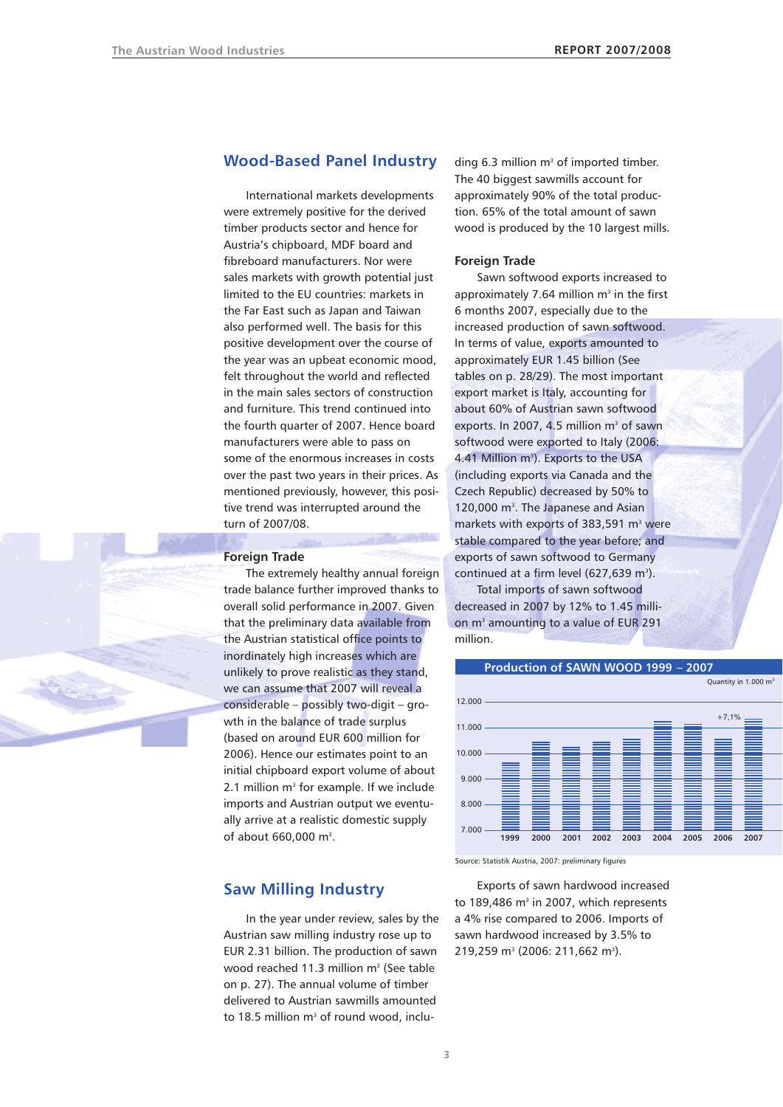### **Wood-Based Panel Industry**

International markets developments were extremely positive for the derived timber products sector and hence for Austria's chipboard, MDF board and fibreboard manufacturers. Nor were sales markets with growth potential just limited to the EU countries: markets in the Far East such as Japan and Taiwan also performed well. The basis for this positive development over the course of the year was an upbeat economic mood, felt throughout the world and reflected in the main sales sectors of construction and furniture. This trend continued into the fourth quarter of 2007. Hence board manufacturers were able to pass on some of the enormous increases in costs over the past two years in their prices. As mentioned previously, however, this positive trend was interrupted around the turn of 2007/08.

**Foreign Trade**

The extremely healthy annual foreign trade balance further improved thanks to overall solid performance in 2007. Given that the preliminary data available from the Austrian statistical office points to inordinately high increases which are unlikely to prove realistic as they stand, we can assume that 2007 will reveal a considerable – possibly two-digit – growth in the balance of trade surplus (based on around EUR 600 million for 2006). Hence our estimates point to an initial chipboard export volume of about 2.1 million  $m<sup>3</sup>$  for example. If we include imports and Austrian output we eventually arrive at a realistic domestic supply of about  $660,000$  m<sup>3</sup>.

### **Saw Milling Industry**

In the year under review, sales by the Austrian saw milling industry rose up to EUR 2.31 billion. The production of sawn wood reached 11.3 million  $m<sup>3</sup>$  (See table on p. 27). The annual volume of timber delivered to Austrian sawmills amounted to 18.5 million  $m<sup>3</sup>$  of round wood, including 6.3 million  $m<sup>3</sup>$  of imported timber. The 40 biggest sawmills account for approximately 90% of the total production. 65% of the total amount of sawn wood is produced by the 10 largest mills.

#### **Foreign Trade**

Sawn softwood exports increased to approximately 7.64 million  $m<sup>3</sup>$  in the first 6 months 2007, especially due to the increased production of sawn softwood. In terms of value, exports amounted to approximately EUR 1.45 billion (See tables on p. 28/29). The most important export market is Italy, accounting for about 60% of Austrian sawn softwood exports. In 2007, 4.5 million m<sup>3</sup> of sawn softwood were exported to Italy (2006: 4.41 Million m<sup>3</sup>). Exports to the USA (including exports via Canada and the Czech Republic) decreased by 50% to 120,000 m<sup>3</sup>. The Japanese and Asian markets with exports of  $383,591$  m<sup>3</sup> were stable compared to the year before; and exports of sawn softwood to Germany continued at a firm level  $(627,639 \text{ m}^3)$ .

Total imports of sawn softwood decreased in 2007 by 12% to 1.45 million m<sup>3</sup> amounting to a value of EUR 291 million.





Source: Statistik Austria, 2007: preliminary figures

Exports of sawn hardwood increased to 189,486  $m<sup>3</sup>$  in 2007, which represents a 4% rise compared to 2006. Imports of sawn hardwood increased by 3.5% to 219,259 m<sup>3</sup> (2006: 211,662 m<sup>3</sup>).